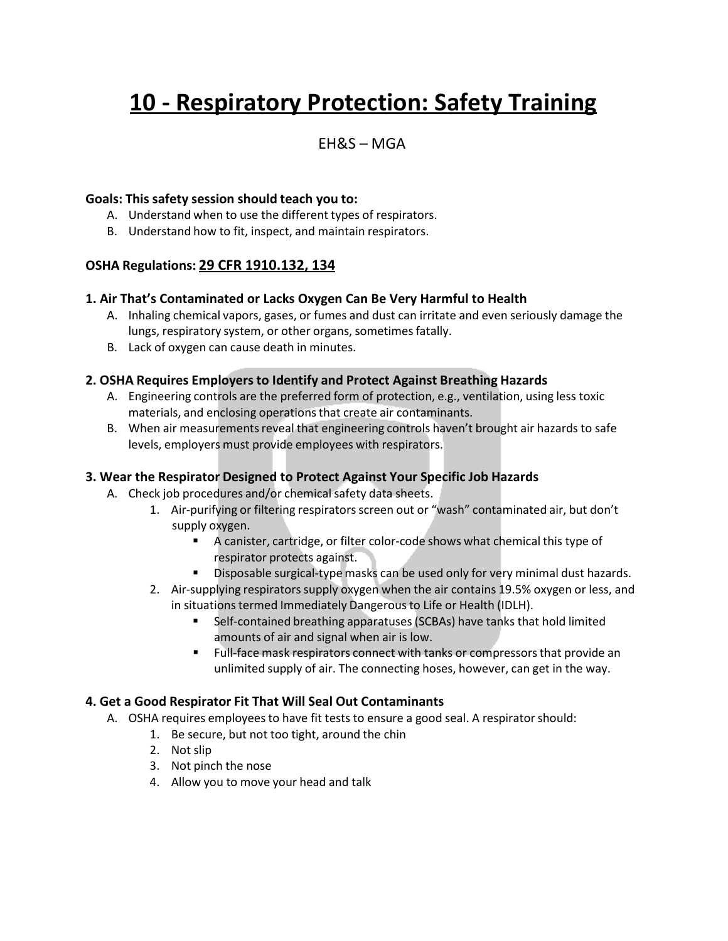# **10 - Respiratory Protection: Safety Training**

### $FHRS - MGA$

#### **Goals: This safety session should teach you to:**

- A. Understand when to use the different types of respirators.
- B. Understand how to fit, inspect, and maintain respirators.

#### **OSHA Regulations: 29 CFR 1910.132, 134**

#### **1. Air That's Contaminated or Lacks Oxygen Can Be Very Harmful to Health**

- A. Inhaling chemical vapors, gases, or fumes and dust can irritate and even seriously damage the lungs, respiratory system, or other organs, sometimes fatally.
- B. Lack of oxygen can cause death in minutes.

#### **2. OSHA Requires Employersto Identify and Protect Against Breathing Hazards**

- A. Engineering controls are the preferred form of protection, e.g., ventilation, using less toxic materials, and enclosing operationsthat create air contaminants.
- B. When air measurements reveal that engineering controls haven't brought air hazards to safe levels, employers must provide employees with respirators.

#### **3. Wear the Respirator Designed to Protect Against Your Specific Job Hazards**

- A. Check job procedures and/or chemical safety data sheets.
	- 1. Air-purifying or filtering respirators screen out or "wash" contaminated air, but don't supply oxygen.
		- A canister, cartridge, or filter color-code shows what chemical this type of respirator protects against.
		- **Disposable surgical-type masks can be used only for very minimal dust hazards.**
	- 2. Air-supplying respirators supply oxygen when the air contains 19.5% oxygen or less, and in situations termed Immediately Dangerous to Life or Health (IDLH).
		- Self-contained breathing apparatuses(SCBAs) have tanks that hold limited amounts of air and signal when air is low.
		- **Full-face mask respirators connect with tanks or compressors that provide an** unlimited supply of air. The connecting hoses, however, can get in the way.

#### **4. Get a Good Respirator Fit That Will Seal Out Contaminants**

- A. OSHA requires employeesto have fit tests to ensure a good seal. A respiratorshould:
	- 1. Be secure, but not too tight, around the chin
	- 2. Not slip
	- 3. Not pinch the nose
	- 4. Allow you to move your head and talk